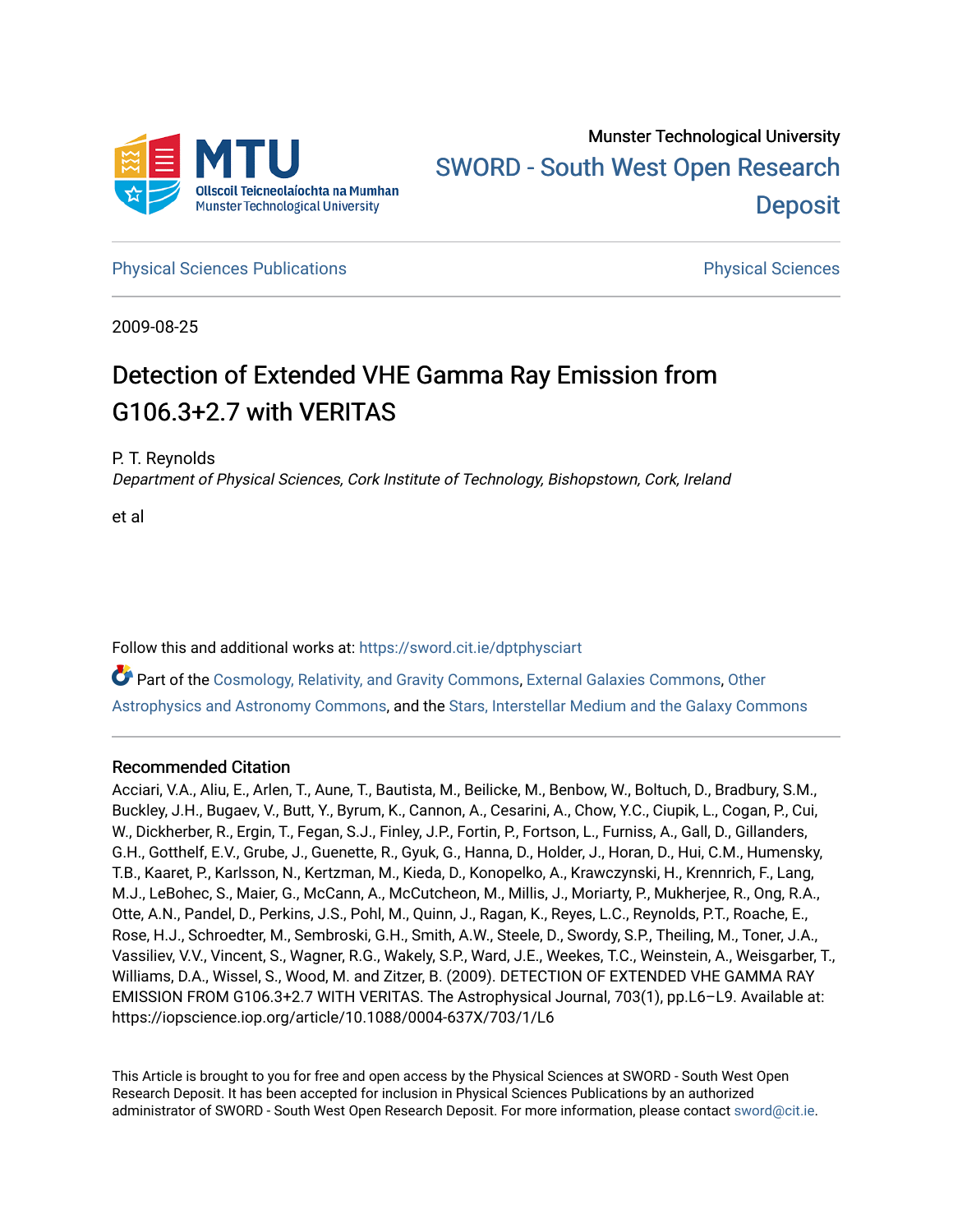

**[Physical Sciences Publications](https://sword.cit.ie/dptphysciart) Provide Access Publications Physical Sciences** Physical Sciences

2009-08-25

# Detection of Extended VHE Gamma Ray Emission from G106.3+2.7 with VERITAS

P. T. Reynolds

Department of Physical Sciences, Cork Institute of Technology, Bishopstown, Cork, Ireland

et al

Follow this and additional works at: [https://sword.cit.ie/dptphysciart](https://sword.cit.ie/dptphysciart?utm_source=sword.cit.ie%2Fdptphysciart%2F108&utm_medium=PDF&utm_campaign=PDFCoverPages)

Part of the [Cosmology, Relativity, and Gravity Commons,](http://network.bepress.com/hgg/discipline/129?utm_source=sword.cit.ie%2Fdptphysciart%2F108&utm_medium=PDF&utm_campaign=PDFCoverPages) [External Galaxies Commons](http://network.bepress.com/hgg/discipline/128?utm_source=sword.cit.ie%2Fdptphysciart%2F108&utm_medium=PDF&utm_campaign=PDFCoverPages), [Other](http://network.bepress.com/hgg/discipline/130?utm_source=sword.cit.ie%2Fdptphysciart%2F108&utm_medium=PDF&utm_campaign=PDFCoverPages) [Astrophysics and Astronomy Commons,](http://network.bepress.com/hgg/discipline/130?utm_source=sword.cit.ie%2Fdptphysciart%2F108&utm_medium=PDF&utm_campaign=PDFCoverPages) and the [Stars, Interstellar Medium and the Galaxy Commons](http://network.bepress.com/hgg/discipline/127?utm_source=sword.cit.ie%2Fdptphysciart%2F108&utm_medium=PDF&utm_campaign=PDFCoverPages)

## Recommended Citation

Acciari, V.A., Aliu, E., Arlen, T., Aune, T., Bautista, M., Beilicke, M., Benbow, W., Boltuch, D., Bradbury, S.M., Buckley, J.H., Bugaev, V., Butt, Y., Byrum, K., Cannon, A., Cesarini, A., Chow, Y.C., Ciupik, L., Cogan, P., Cui, W., Dickherber, R., Ergin, T., Fegan, S.J., Finley, J.P., Fortin, P., Fortson, L., Furniss, A., Gall, D., Gillanders, G.H., Gotthelf, E.V., Grube, J., Guenette, R., Gyuk, G., Hanna, D., Holder, J., Horan, D., Hui, C.M., Humensky, T.B., Kaaret, P., Karlsson, N., Kertzman, M., Kieda, D., Konopelko, A., Krawczynski, H., Krennrich, F., Lang, M.J., LeBohec, S., Maier, G., McCann, A., McCutcheon, M., Millis, J., Moriarty, P., Mukherjee, R., Ong, R.A., Otte, A.N., Pandel, D., Perkins, J.S., Pohl, M., Quinn, J., Ragan, K., Reyes, L.C., Reynolds, P.T., Roache, E., Rose, H.J., Schroedter, M., Sembroski, G.H., Smith, A.W., Steele, D., Swordy, S.P., Theiling, M., Toner, J.A., Vassiliev, V.V., Vincent, S., Wagner, R.G., Wakely, S.P., Ward, J.E., Weekes, T.C., Weinstein, A., Weisgarber, T., Williams, D.A., Wissel, S., Wood, M. and Zitzer, B. (2009). DETECTION OF EXTENDED VHE GAMMA RAY EMISSION FROM G106.3+2.7 WITH VERITAS. The Astrophysical Journal, 703(1), pp.L6–L9. Available at: https://iopscience.iop.org/article/10.1088/0004-637X/703/1/L6

This Article is brought to you for free and open access by the Physical Sciences at SWORD - South West Open Research Deposit. It has been accepted for inclusion in Physical Sciences Publications by an authorized administrator of SWORD - South West Open Research Deposit. For more information, please contact [sword@cit.ie.](mailto:sword@cit.ie)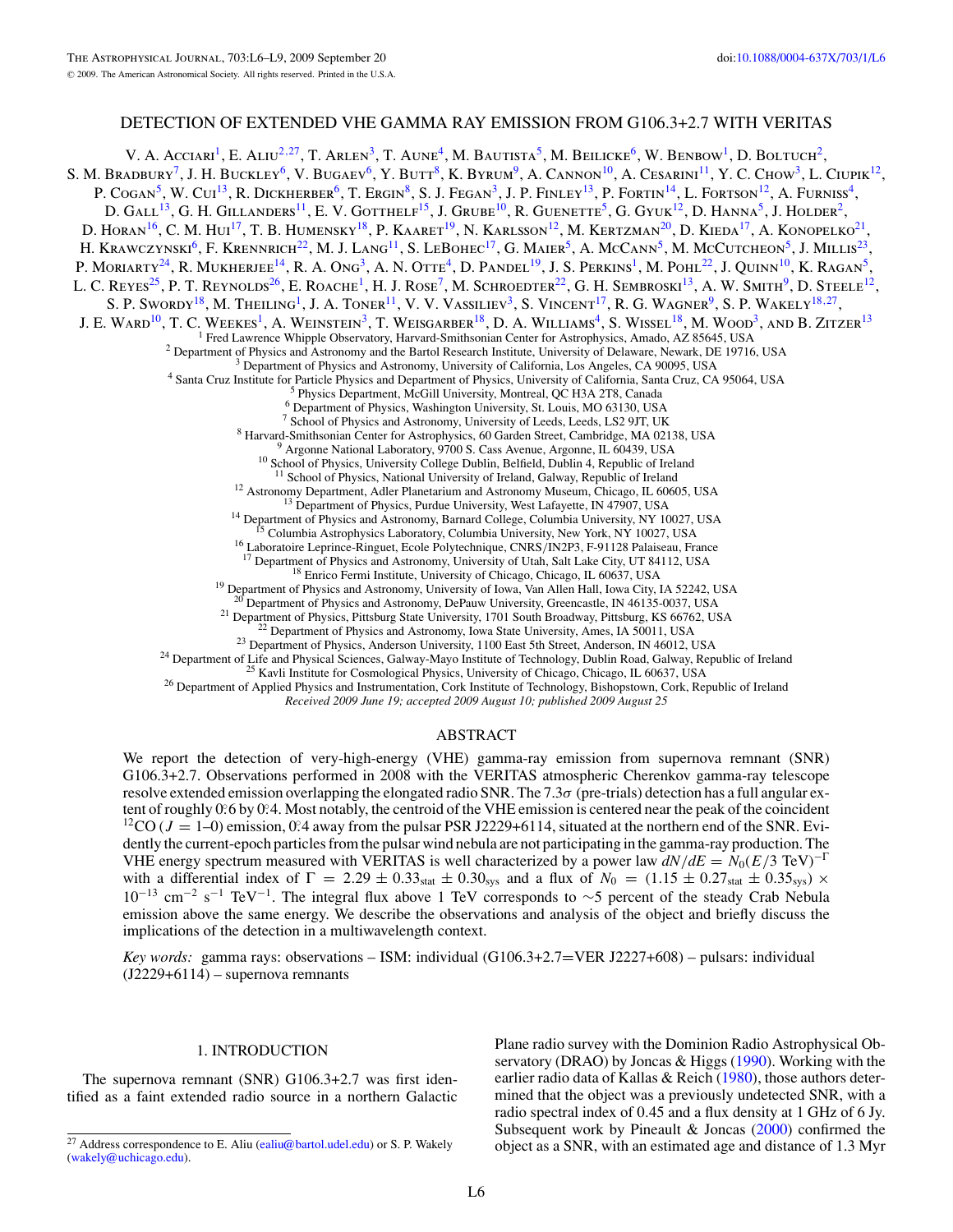## DETECTION OF EXTENDED VHE GAMMA RAY EMISSION FROM G106.3+2.7 WITH VERITAS

V. A. Acciari<sup>1</sup>, E. Aliu<sup>2,27</sup>, T. Arlen<sup>3</sup>, T. Aune<sup>4</sup>, M. Bautista<sup>5</sup>, M. Beilicke<sup>6</sup>, W. Benbow<sup>1</sup>, D. Boltuch<sup>2</sup>, S. M. Bradbury<sup>7</sup>, J. H. Buckley<sup>6</sup>, V. Bugaev<sup>6</sup>, Y. Butt<sup>8</sup>, K. Byrum<sup>9</sup>, A. Cannon<sup>10</sup>, A. Cesarini<sup>11</sup>, Y. C. Chow<sup>3</sup>, L. Ciupik<sup>12</sup>, P. COGAN<sup>5</sup>, W. CUI<sup>13</sup>, R. DICKHERBER<sup>6</sup>, T. ERGIN<sup>8</sup>, S. J. FEGAN<sup>3</sup>, J. P. FINLEY<sup>13</sup>, P. FORTIN<sup>14</sup>, L. FORTSON<sup>12</sup>, A. FURNISS<sup>4</sup>, D. GALL<sup>13</sup>, G. H. GILLANDERS<sup>11</sup>, E. V. GOTTHELF<sup>15</sup>, J. GRUBE<sup>10</sup>, R. GUENETTE<sup>5</sup>, G. GYUK<sup>12</sup>, D. HANNA<sup>5</sup>, J. HOLDER<sup>2</sup>, D. HORAN<sup>16</sup>, C. M. Hui<sup>17</sup>, T. B. Humensky<sup>18</sup>, P. Kaaret<sup>19</sup>, N. Karlsson<sup>12</sup>, M. Kertzman<sup>20</sup>, D. Kieda<sup>17</sup>, A. Konopelko<sup>21</sup> H. KRAWCZYNSKI<sup>6</sup>, F. KRENNRICH<sup>22</sup>, M. J. LANG<sup>11</sup>, S. LEBOHEC<sup>17</sup>, G. MAIER<sup>5</sup>, A. McCANN<sup>5</sup>, M. McCutcheon<sup>5</sup>, J. Millis<sup>23</sup>, P. MORIARTY<sup>24</sup>, R. MUKHERJEE<sup>14</sup>, R. A. Ong<sup>3</sup>, A. N. Otte<sup>4</sup>, D. Pandel<sup>19</sup>, J. S. Perkins<sup>1</sup>, M. Pohl<sup>22</sup>, J. Ouinn<sup>10</sup>, K. Ragan<sup>5</sup>, L. C. REYES<sup>25</sup>, P. T. REYNOLDS<sup>26</sup>, E. ROACHE<sup>1</sup>, H. J. ROSE<sup>7</sup>, M. SCHROEDTER<sup>22</sup>, G. H. SEMBROSKI<sup>13</sup>, A. W. SMITH<sup>9</sup>, D. STEELE<sup>12</sup>, S. P. SWORDY<sup>18</sup>, M. THEILING<sup>1</sup>, J. A. TONER<sup>11</sup>, V. V. VASSILIEV<sup>3</sup>, S. VINCENT<sup>17</sup>, R. G. WAGNER<sup>9</sup>, S. P. WAKELY<sup>18,27</sup>, J. E. WARD<sup>10</sup>, T. C. WEEKES<sup>1</sup>, A. WEINSTEIN<sup>3</sup>, T. WEISGARBER<sup>18</sup>, D. A. WILLIAMS<sup>4</sup>, S. WISSEL<sup>18</sup>, M. WOOD<sup>3</sup>, AND B. ZITZER<sup>13</sup> <sup>1</sup> Fred Lawrence Whipple Observatory, Harvard-Smithsonian Center for Astrophysics, Amado, AZ 85645, USA<br>
<sup>2</sup> Department of Physics and Astronomy and the Bartol Research Institute, University of Delaware, Newark, DE 19716 <sup>12</sup> Astronomy Department, Adler Planetarium and Astronomy Museum, Chicago, IL 60605, USA<br><sup>13</sup> Department of Physics, Purdue University, West Lafayette, IN 47907, USA<br><sup>14</sup> Department of Physics and Astronomy, Barnard Coll <sup>20</sup> Department of Physics and Astronomy, DePauw University, Greencastle, IN 46135-0037, USA<br><sup>21</sup> Department of Physics, Pittsburg State University, 1701 South Broadway, Pittsburg, KS 66762, USA<br><sup>22</sup> Department of Physics

*Received 2009 June 19; accepted 2009 August 10; published 2009 August 25*

### ABSTRACT

We report the detection of very-high-energy (VHE) gamma-ray emission from supernova remnant (SNR) G106.3+2.7. Observations performed in 2008 with the VERITAS atmospheric Cherenkov gamma-ray telescope resolve extended emission overlapping the elongated radio SNR. The 7.3*σ* (pre-trials) detection has a full angular extent of roughly 0°.6 by 0°.4. Most notably, the centroid of the VHE emission is centered near the peak of the coincident <sup>12</sup>CO ( $J = 1-0$ ) emission, 0.4 away from the pulsar PSR J2229+6114, situated at the northern end of the SNR. Evidently the current-epoch particles from the pulsar wind nebula are not participating in the gamma-ray production. The VHE energy spectrum measured with VERITAS is well characterized by a power law  $dN/dE = N_0(E/3 \text{ TeV})^{-\Gamma}$ with a differential index of  $\Gamma = 2.29 \pm 0.33_{stat} \pm 0.30_{sys}$  and a flux of  $N_0 = (1.15 \pm 0.27_{stat} \pm 0.35_{sys}) \times$ <sup>10</sup>−<sup>13</sup> cm−<sup>2</sup> <sup>s</sup>−<sup>1</sup> TeV−1. The integral flux above 1 TeV corresponds to <sup>∼</sup>5 percent of the steady Crab Nebula emission above the same energy. We describe the observations and analysis of the object and briefly discuss the implications of the detection in a multiwavelength context.

*Key words:* gamma rays: observations – ISM: individual (G106.3+2.7=VER J2227+608) – pulsars: individual (J2229+6114) – supernova remnants

#### 1. INTRODUCTION

The supernova remnant (SNR) G106.3+2.7 was first identified as a faint extended radio source in a northern Galactic

Plane radio survey with the Dominion Radio Astrophysical Ob-servatory (DRAO) by Joncas & Higgs [\(1990\)](#page-4-0). Working with the earlier radio data of Kallas & Reich [\(1980\)](#page-4-0), those authors determined that the object was a previously undetected SNR, with a radio spectral index of 0*.*45 and a flux density at 1 GHz of 6 Jy. Subsequent work by Pineault & Joncas [\(2000\)](#page-4-0) confirmed the object as a SNR, with an estimated age and distance of 1.3 Myr

<sup>&</sup>lt;sup>27</sup> Address correspondence to E. Aliu [\(ealiu@bartol.udel.edu\)](mailto:ealiu@bartol.udel.edu) or S. P. Wakely [\(wakely@uchicago.edu\)](mailto:wakely@uchicago.edu).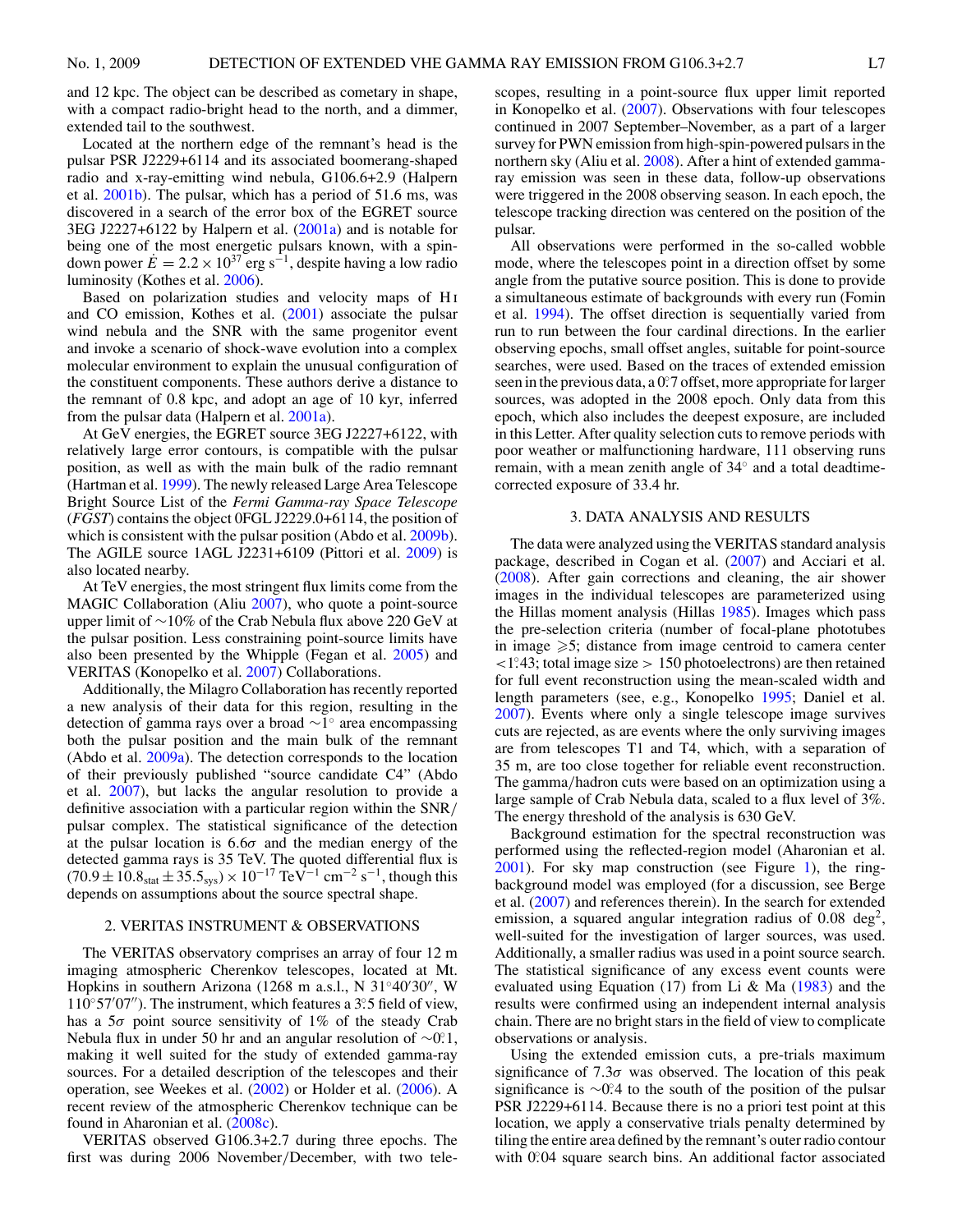<span id="page-2-0"></span>and 12 kpc. The object can be described as cometary in shape, with a compact radio-bright head to the north, and a dimmer, extended tail to the southwest.

Located at the northern edge of the remnant's head is the pulsar PSR J2229+6114 and its associated boomerang-shaped radio and x-ray-emitting wind nebula, G106.6+2.9 (Halpern et al. [2001b\)](#page-4-0). The pulsar, which has a period of 51.6 ms, was discovered in a search of the error box of the EGRET source  $3EG$  J2227+6122 by Halpern et al.  $(2001a)$  and is notable for being one of the most energetic pulsars known, with a spindown power  $E = 2.2 \times 10^{37}$  erg s<sup>-1</sup>, despite having a low radio luminosity (Kothes et al. [2006\)](#page-4-0).

Based on polarization studies and velocity maps of H<sub>I</sub> and CO emission, Kothes et al. [\(2001\)](#page-4-0) associate the pulsar wind nebula and the SNR with the same progenitor event and invoke a scenario of shock-wave evolution into a complex molecular environment to explain the unusual configuration of the constituent components. These authors derive a distance to the remnant of 0.8 kpc, and adopt an age of 10 kyr, inferred from the pulsar data (Halpern et al. [2001a\)](#page-4-0).

At GeV energies, the EGRET source 3EG J2227+6122, with relatively large error contours, is compatible with the pulsar position, as well as with the main bulk of the radio remnant (Hartman et al. [1999\)](#page-4-0). The newly released Large Area Telescope Bright Source List of the *Fermi Gamma-ray Space Telescope* (*FGST*) contains the object 0FGL J2229.0+6114, the position of which is consistent with the pulsar position (Abdo et al. [2009b\)](#page-4-0). The AGILE source 1AGL J2231+6109 (Pittori et al. [2009\)](#page-4-0) is also located nearby.

At TeV energies, the most stringent flux limits come from the MAGIC Collaboration (Aliu [2007\)](#page-4-0), who quote a point-source upper limit of ∼10% of the Crab Nebula flux above 220 GeV at the pulsar position. Less constraining point-source limits have also been presented by the Whipple (Fegan et al. [2005\)](#page-4-0) and VERITAS (Konopelko et al. [2007\)](#page-4-0) Collaborations.

Additionally, the Milagro Collaboration has recently reported a new analysis of their data for this region, resulting in the detection of gamma rays over a broad ∼1◦ area encompassing both the pulsar position and the main bulk of the remnant (Abdo et al. [2009a\)](#page-4-0). The detection corresponds to the location of their previously published "source candidate C4" (Abdo et al. [2007\)](#page-4-0), but lacks the angular resolution to provide a definitive association with a particular region within the SNR*/* pulsar complex. The statistical significance of the detection at the pulsar location is 6*.*6*σ* and the median energy of the detected gamma rays is 35 TeV. The quoted differential flux is  $(70.9 \pm 10.8<sub>stat</sub> \pm 35.5<sub>sys</sub>) \times 10<sup>-17</sup>$  TeV<sup>-1</sup> cm<sup>-2</sup> s<sup>-1</sup>, though this depends on assumptions about the source spectral shape.

#### 2. VERITAS INSTRUMENT & OBSERVATIONS

The VERITAS observatory comprises an array of four 12 m imaging atmospheric Cherenkov telescopes, located at Mt. Hopkins in southern Arizona (1268 m a.s.l., N 31 $\degree$ 40'30", W 110◦57 07). The instrument, which features a 3*.* ◦5 field of view, has a 5*σ* point source sensitivity of 1% of the steady Crab Nebula flux in under 50 hr and an angular resolution of ∼0.<sup>2</sup>. making it well suited for the study of extended gamma-ray sources. For a detailed description of the telescopes and their operation, see Weekes et al. [\(2002\)](#page-4-0) or Holder et al. [\(2006\)](#page-4-0). A recent review of the atmospheric Cherenkov technique can be found in Aharonian et al. [\(2008c\)](#page-4-0).

VERITAS observed G106.3+2.7 during three epochs. The first was during 2006 November*/*December, with two telescopes, resulting in a point-source flux upper limit reported in Konopelko et al. [\(2007\)](#page-4-0). Observations with four telescopes continued in 2007 September–November, as a part of a larger survey for PWN emission from high-spin-powered pulsars in the northern sky (Aliu et al. [2008\)](#page-4-0). After a hint of extended gammaray emission was seen in these data, follow-up observations were triggered in the 2008 observing season. In each epoch, the telescope tracking direction was centered on the position of the pulsar.

All observations were performed in the so-called wobble mode, where the telescopes point in a direction offset by some angle from the putative source position. This is done to provide a simultaneous estimate of backgrounds with every run (Fomin et al. [1994\)](#page-4-0). The offset direction is sequentially varied from run to run between the four cardinal directions. In the earlier observing epochs, small offset angles, suitable for point-source searches, were used. Based on the traces of extended emission seen in the previous data, a 0°.7 offset, more appropriate for larger sources, was adopted in the 2008 epoch. Only data from this epoch, which also includes the deepest exposure, are included in this Letter. After quality selection cuts to remove periods with poor weather or malfunctioning hardware, 111 observing runs remain, with a mean zenith angle of 34◦ and a total deadtimecorrected exposure of 33.4 hr.

### 3. DATA ANALYSIS AND RESULTS

The data were analyzed using the VERITAS standard analysis package, described in Cogan et al. [\(2007\)](#page-4-0) and Acciari et al. [\(2008\)](#page-4-0). After gain corrections and cleaning, the air shower images in the individual telescopes are parameterized using the Hillas moment analysis (Hillas [1985\)](#page-4-0). Images which pass the pre-selection criteria (number of focal-plane phototubes in image  $\geqslant$ 5; distance from image centroid to camera center *<*1*.* ◦43; total image size *>* 150 photoelectrons) are then retained for full event reconstruction using the mean-scaled width and length parameters (see, e.g., Konopelko [1995;](#page-4-0) Daniel et al. [2007\)](#page-4-0). Events where only a single telescope image survives cuts are rejected, as are events where the only surviving images are from telescopes T1 and T4, which, with a separation of 35 m, are too close together for reliable event reconstruction. The gamma*/*hadron cuts were based on an optimization using a large sample of Crab Nebula data, scaled to a flux level of 3%. The energy threshold of the analysis is 630 GeV.

Background estimation for the spectral reconstruction was performed using the reflected-region model (Aharonian et al. [2001\)](#page-4-0). For sky map construction (see Figure [1\)](#page-3-0), the ringbackground model was employed (for a discussion, see Berge et al. [\(2007\)](#page-4-0) and references therein). In the search for extended emission, a squared angular integration radius of 0.08 deg<sup>2</sup>, well-suited for the investigation of larger sources, was used. Additionally, a smaller radius was used in a point source search. The statistical significance of any excess event counts were evaluated using Equation (17) from Li & Ma  $(1983)$  and the results were confirmed using an independent internal analysis chain. There are no bright stars in the field of view to complicate observations or analysis.

Using the extended emission cuts, a pre-trials maximum significance of  $7.3\sigma$  was observed. The location of this peak significance is ∼0<sup>o</sup>. 4 to the south of the position of the pulsar PSR J2229+6114. Because there is no a priori test point at this location, we apply a conservative trials penalty determined by tiling the entire area defined by the remnant's outer radio contour with 0°.04 square search bins. An additional factor associated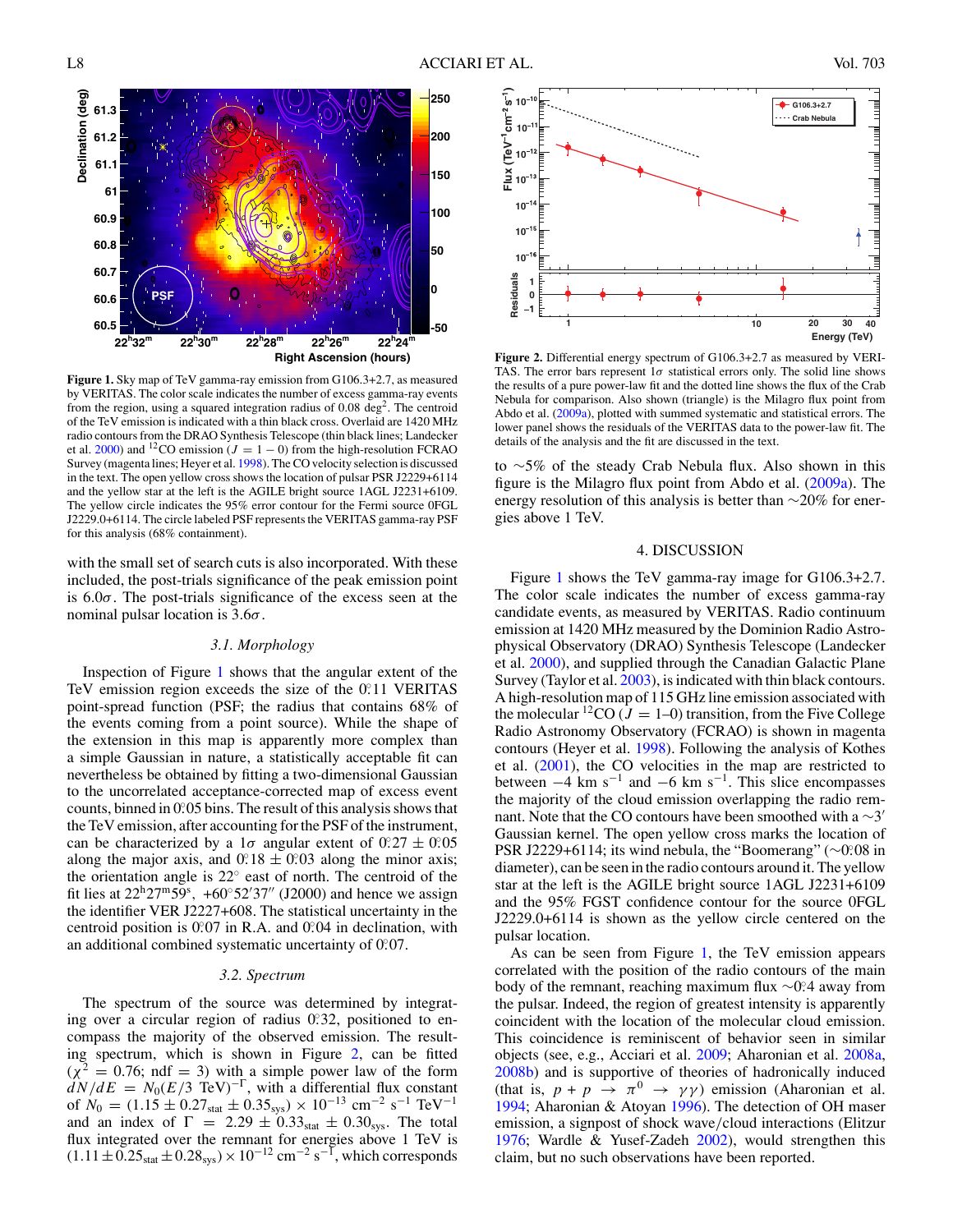<span id="page-3-0"></span>

**Figure 1.** Sky map of TeV gamma-ray emission from G106.3+2.7, as measured by VERITAS. The color scale indicates the number of excess gamma-ray events from the region, using a squared integration radius of 0.08 deg<sup>2</sup>. The centroid of the TeV emission is indicated with a thin black cross. Overlaid are 1420 MHz radio contours from the DRAO Synthesis Telescope (thin black lines; Landecker et al. [2000\)](#page-4-0) and <sup>12</sup>CO emission ( $J = 1 - 0$ ) from the high-resolution FCRAO Survey (magenta lines; Heyer et al. [1998\)](#page-4-0). The CO velocity selection is discussed in the text. The open yellow cross shows the location of pulsar PSR J2229+6114 and the yellow star at the left is the AGILE bright source 1AGL J2231+6109. The yellow circle indicates the 95% error contour for the Fermi source 0FGL J2229.0+6114. The circle labeled PSF represents the VERITAS gamma-ray PSF for this analysis (68% containment).

with the small set of search cuts is also incorporated. With these included, the post-trials significance of the peak emission point is 6*.*0*σ*. The post-trials significance of the excess seen at the nominal pulsar location is 3*.*6*σ*.

#### *3.1. Morphology*

Inspection of Figure 1 shows that the angular extent of the TeV emission region exceeds the size of the 0.11 VERITAS point-spread function (PSF; the radius that contains 68% of the events coming from a point source). While the shape of the extension in this map is apparently more complex than a simple Gaussian in nature, a statistically acceptable fit can nevertheless be obtained by fitting a two-dimensional Gaussian to the uncorrelated acceptance-corrected map of excess event counts, binned in 0.05 bins. The result of this analysis shows that the TeV emission, after accounting for the PSF of the instrument, can be characterized by a 1 $\sigma$  angular extent of  $0.27 \pm 0.05$ along the major axis, and  $0.18 \pm 0.03$  along the minor axis; the orientation angle is 22◦ east of north. The centroid of the fit lies at  $22^{\text{h}}27^{\text{m}}59^{\text{s}}$ ,  $+60^{\circ}52'37''$  (J2000) and hence we assign the identifier VER J2227+608. The statistical uncertainty in the centroid position is 0.07 in R.A. and 0.04 in declination, with an additional combined systematic uncertainty of 0.07.

#### *3.2. Spectrum*

The spectrum of the source was determined by integrating over a circular region of radius 0.32, positioned to encompass the majority of the observed emission. The resulting spectrum, which is shown in Figure 2, can be fitted  $(\chi^2 = 0.76; \text{ ndf} = 3)$  with a simple power law of the form  $dN/dE = N_0(E/3 \text{ TeV})^{-\Gamma}$ , with a differential flux constant of  $N_0 = (1.15 \pm 0.27<sub>stat</sub> \pm 0.35<sub>sys</sub>) \times 10<sup>-13</sup>$  cm<sup>-2</sup> s<sup>-1</sup> TeV<sup>-1</sup> and an index of  $\Gamma = 2.29 \pm 0.33_{stat} \pm 0.30_{sys}$ . The total flux integrated over the remnant for energies above 1 TeV is  $(1.11 \pm 0.25<sub>stat</sub> \pm 0.28<sub>sys</sub>) \times 10<sup>-12</sup>$  cm<sup>-2</sup> s<sup>-1</sup>, which corresponds



Figure 2. Differential energy spectrum of G106.3+2.7 as measured by VERI-TAS. The error bars represent  $1\sigma$  statistical errors only. The solid line shows the results of a pure power-law fit and the dotted line shows the flux of the Crab Nebula for comparison. Also shown (triangle) is the Milagro flux point from Abdo et al. [\(2009a\)](#page-4-0), plotted with summed systematic and statistical errors. The lower panel shows the residuals of the VERITAS data to the power-law fit. The details of the analysis and the fit are discussed in the text.

to ∼5% of the steady Crab Nebula flux. Also shown in this figure is the Milagro flux point from Abdo et al. [\(2009a\)](#page-4-0). The energy resolution of this analysis is better than ∼20% for energies above 1 TeV.

#### 4. DISCUSSION

Figure 1 shows the TeV gamma-ray image for G106.3+2.7. The color scale indicates the number of excess gamma-ray candidate events, as measured by VERITAS. Radio continuum emission at 1420 MHz measured by the Dominion Radio Astrophysical Observatory (DRAO) Synthesis Telescope (Landecker et al. [2000\)](#page-4-0), and supplied through the Canadian Galactic Plane Survey (Taylor et al. [2003\)](#page-4-0), is indicated with thin black contours. A high-resolution map of 115 GHz line emission associated with the molecular <sup>12</sup>CO ( $J = 1-0$ ) transition, from the Five College Radio Astronomy Observatory (FCRAO) is shown in magenta contours (Heyer et al. [1998\)](#page-4-0). Following the analysis of Kothes et al. [\(2001\)](#page-4-0), the CO velocities in the map are restricted to between  $-4$  km s<sup>-1</sup> and  $-6$  km s<sup>-1</sup>. This slice encompasses the majority of the cloud emission overlapping the radio remnant. Note that the CO contours have been smoothed with a  $\sim$ 3' Gaussian kernel. The open yellow cross marks the location of PSR J2229+6114; its wind nebula, the "Boomerang" (∼0°.08 in diameter), can be seen in the radio contours around it. The yellow star at the left is the AGILE bright source 1AGL J2231+6109 and the 95% FGST confidence contour for the source 0FGL J2229.0+6114 is shown as the yellow circle centered on the pulsar location.

As can be seen from Figure 1, the TeV emission appears correlated with the position of the radio contours of the main body of the remnant, reaching maximum flux ∼0*.* ◦4 away from the pulsar. Indeed, the region of greatest intensity is apparently coincident with the location of the molecular cloud emission. This coincidence is reminiscent of behavior seen in similar objects (see, e.g., Acciari et al. [2009;](#page-4-0) Aharonian et al. [2008a,](#page-4-0) [2008b\)](#page-4-0) and is supportive of theories of hadronically induced (that is,  $p + p \rightarrow \pi^0 \rightarrow \gamma \gamma$ ) emission (Aharonian et al. [1994;](#page-4-0) Aharonian & Atoyan [1996\)](#page-4-0). The detection of OH maser emission, a signpost of shock wave*/*cloud interactions (Elitzur [1976;](#page-4-0) Wardle & Yusef-Zadeh [2002\)](#page-4-0), would strengthen this claim, but no such observations have been reported.

**Energy (TeV)**